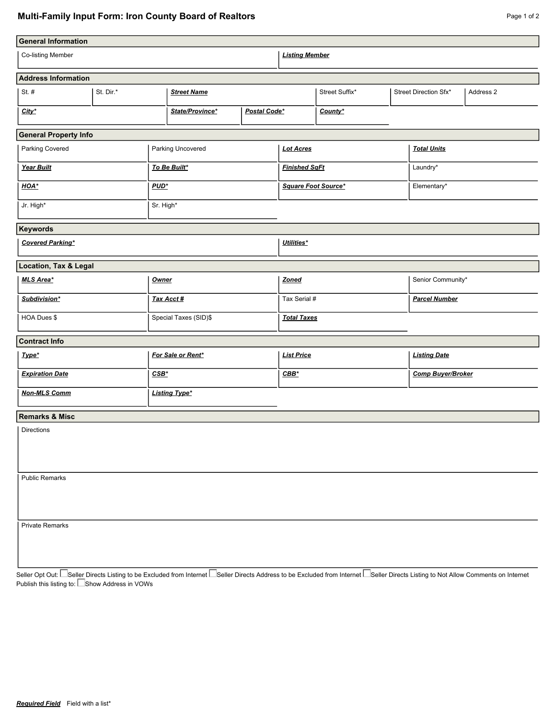## **Multi-Family Input Form: Iron County Board of Realtors**

| <b>General Information</b>   |           |                       |                                 |                      |                       |                     |                          |                       |           |  |  |  |
|------------------------------|-----------|-----------------------|---------------------------------|----------------------|-----------------------|---------------------|--------------------------|-----------------------|-----------|--|--|--|
| <b>Co-listing Member</b>     |           |                       |                                 |                      | <b>Listing Member</b> |                     |                          |                       |           |  |  |  |
| <b>Address Information</b>   |           |                       |                                 |                      |                       |                     |                          |                       |           |  |  |  |
| St. $#$                      | St. Dir.* |                       | <b>Street Name</b>              |                      | Street Suffix*        |                     |                          | Street Direction Sfx* | Address 2 |  |  |  |
| City*                        |           |                       | State/Province*<br>Postal Code* |                      | County*               |                     |                          |                       |           |  |  |  |
| <b>General Property Info</b> |           |                       |                                 |                      |                       |                     |                          |                       |           |  |  |  |
| Parking Covered              |           | Parking Uncovered     |                                 | <b>Lot Acres</b>     |                       |                     | <b>Total Units</b>       |                       |           |  |  |  |
| Year Built                   |           | To Be Built*          |                                 | <b>Finished SqFt</b> |                       | Laundry*            |                          |                       |           |  |  |  |
| HOA*                         |           |                       | $PUD^*$                         |                      | Square Foot Source*   |                     |                          | Elementary*           |           |  |  |  |
| Jr. High*                    |           | Sr. High*             |                                 |                      |                       |                     |                          |                       |           |  |  |  |
| <b>Keywords</b>              |           |                       |                                 |                      |                       |                     |                          |                       |           |  |  |  |
| <b>Covered Parking*</b>      |           |                       |                                 | Utilities*           |                       |                     |                          |                       |           |  |  |  |
| Location, Tax & Legal        |           |                       |                                 |                      |                       |                     |                          |                       |           |  |  |  |
| <b>MLS Area*</b>             |           |                       | <b>Owner</b>                    |                      | <b>Zoned</b>          |                     | Senior Community*        |                       |           |  |  |  |
| Subdivision*                 |           |                       | Tax Acct #                      |                      | Tax Serial #          |                     | <b>Parcel Number</b>     |                       |           |  |  |  |
| HOA Dues \$                  |           | Special Taxes (SID)\$ |                                 | <b>Total Taxes</b>   |                       |                     |                          |                       |           |  |  |  |
| <b>Contract Info</b>         |           |                       |                                 |                      |                       |                     |                          |                       |           |  |  |  |
| Type*                        |           | For Sale or Rent*     |                                 | <b>List Price</b>    |                       | <b>Listing Date</b> |                          |                       |           |  |  |  |
| <b>Expiration Date</b>       |           |                       | $CSB^*$                         |                      | $CBB*$                |                     | <b>Comp Buyer/Broker</b> |                       |           |  |  |  |
| <b>Non-MLS Comm</b>          |           |                       | <b>Listing Type*</b>            |                      |                       |                     |                          |                       |           |  |  |  |
| <b>Remarks &amp; Misc</b>    |           |                       |                                 |                      |                       |                     |                          |                       |           |  |  |  |
| <b>Directions</b>            |           |                       |                                 |                      |                       |                     |                          |                       |           |  |  |  |
| <b>Public Remarks</b>        |           |                       |                                 |                      |                       |                     |                          |                       |           |  |  |  |
| <b>Private Remarks</b>       |           |                       |                                 |                      |                       |                     |                          |                       |           |  |  |  |

Seller Opt Out: Seller Directs Listing to be Excluded from Internet Seller Directs Address to be Excluded from Internet Seller Directs Listing to Not Allow Comments on Internet Publish this listing to: Show Address in VOWs